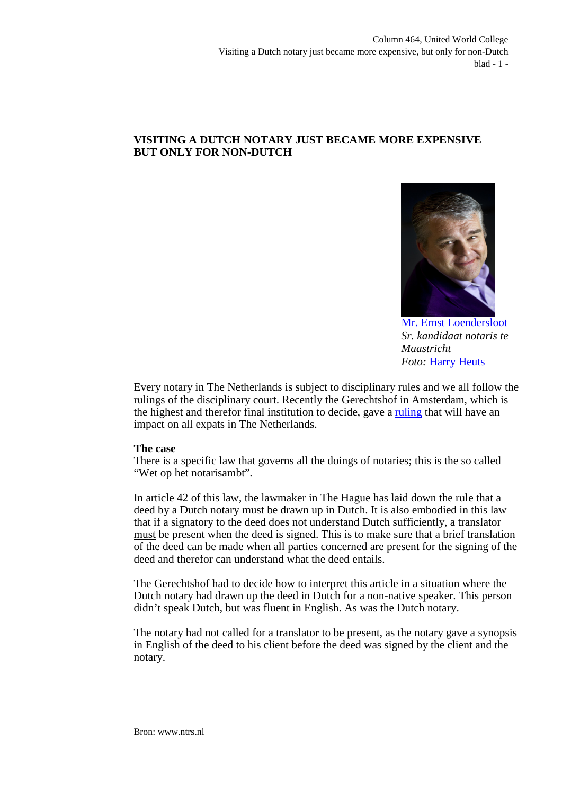## **VISITING A DUTCH NOTARY JUST BECAME MORE EXPENSIVE BUT ONLY FOR NON-DUTCH**



[Mr. Ernst Loendersloot](http://www.linkedin.com/pub/ernst-loendersloot/10/ab9/aaa) *Sr. kandidaat notaris te Maastricht Foto:* [Harry Heuts](http://www.linkedin.com/pub/harry-heuts/2b/497/613)

Every notary in The Netherlands is subject to disciplinary rules and we all follow the rulings of the disciplinary court. Recently the Gerechtshof in Amsterdam, which is the highest and therefor final institution to decide, gave a [ruling](http://deeplink.rechtspraak.nl/uitspraak?id=ECLI:NL:GHAMS:2013:4505) that will have an impact on all expats in The Netherlands.

## **The case**

There is a specific law that governs all the doings of notaries; this is the so called "Wet op het notarisambt".

In article 42 of this law, the lawmaker in The Hague has laid down the rule that a deed by a Dutch notary must be drawn up in Dutch. It is also embodied in this law that if a signatory to the deed does not understand Dutch sufficiently, a translator must be present when the deed is signed. This is to make sure that a brief translation of the deed can be made when all parties concerned are present for the signing of the deed and therefor can understand what the deed entails.

The Gerechtshof had to decide how to interpret this article in a situation where the Dutch notary had drawn up the deed in Dutch for a non-native speaker. This person didn't speak Dutch, but was fluent in English. As was the Dutch notary.

The notary had not called for a translator to be present, as the notary gave a synopsis in English of the deed to his client before the deed was signed by the client and the notary.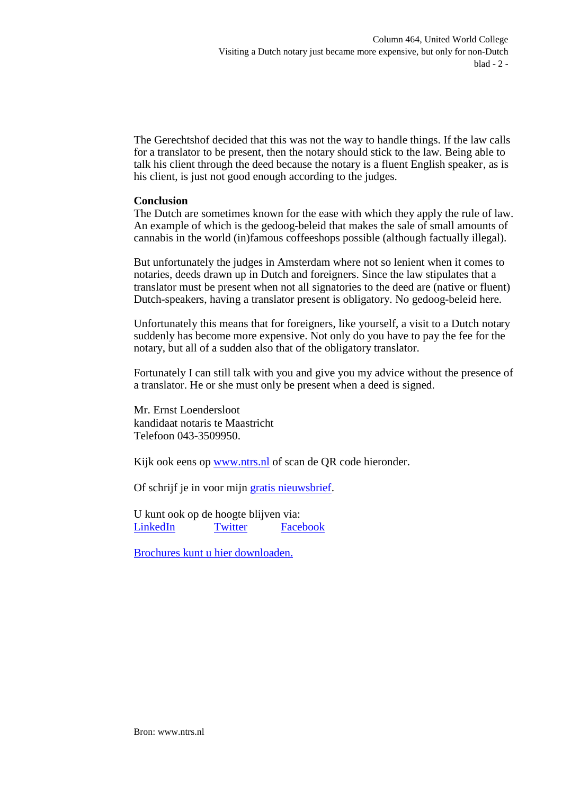The Gerechtshof decided that this was not the way to handle things. If the law calls for a translator to be present, then the notary should stick to the law. Being able to talk his client through the deed because the notary is a fluent English speaker, as is his client, is just not good enough according to the judges.

## **Conclusion**

The Dutch are sometimes known for the ease with which they apply the rule of law. An example of which is the gedoog-beleid that makes the sale of small amounts of cannabis in the world (in)famous coffeeshops possible (although factually illegal).

But unfortunately the judges in Amsterdam where not so lenient when it comes to notaries, deeds drawn up in Dutch and foreigners. Since the law stipulates that a translator must be present when not all signatories to the deed are (native or fluent) Dutch-speakers, having a translator present is obligatory. No gedoog-beleid here.

Unfortunately this means that for foreigners, like yourself, a visit to a Dutch notary suddenly has become more expensive. Not only do you have to pay the fee for the notary, but all of a sudden also that of the obligatory translator.

Fortunately I can still talk with you and give you my advice without the presence of a translator. He or she must only be present when a deed is signed.

Mr. Ernst Loendersloot kandidaat notaris te Maastricht Telefoon 043-3509950.

Kijk ook eens op [www.ntrs.nl](http://www.ntrs.nl/) of scan de QR code hieronder.

Of schrijf je in voor mijn [gratis nieuwsbrief](http://eepurl.com/vQ2rn).

U kunt ook op de hoogte blijven via: [LinkedIn](http://www.linkedin.com/pub/ernst-loendersloot/10/ab9/aaa) [Twitter](https://twitter.com/ernstloenderslo) [Facebook](https://www.facebook.com/ernst.loendersloot)

[Brochures kunt u hier downloaden.](http://www.ntrs.nl/links/)